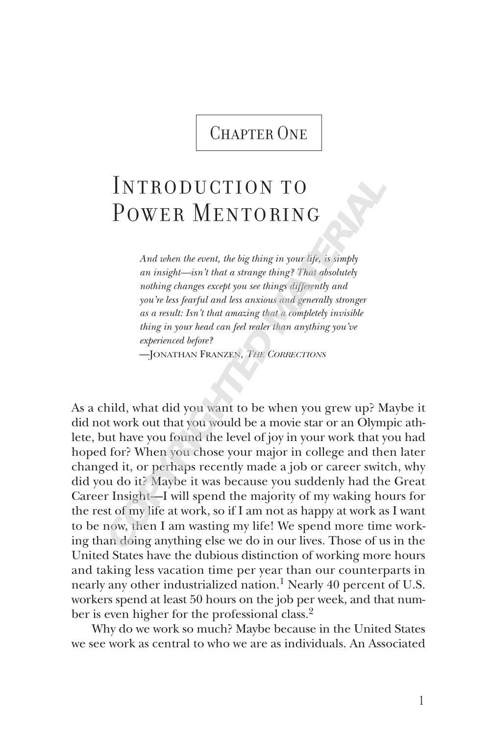## CHAPTER ONE

# Introduction to POWER MENTORING

*And when the event, the big thing in your life, is simply an insight—isn't that a strange thing? That absolutely nothing changes except you see things differently and you're less fearful and less anxious and generally stronger as a result: Isn't that amazing that a completely invisible thing in your head can feel realer than anything you've experienced before?* —JONATHAN FRANZEN, *THE CORRECTIONS*

As a child, what did you want to be when you grew up? Maybe it did not work out that you would be a movie star or an Olympic athlete, but have you found the level of joy in your work that you had hoped for? When you chose your major in college and then later changed it, or perhaps recently made a job or career switch, why did you do it? Maybe it was because you suddenly had the Great Career Insight—I will spend the majority of my waking hours for the rest of my life at work, so if I am not as happy at work as I want to be now, then I am wasting my life! We spend more time working than doing anything else we do in our lives. Those of us in the United States have the dubious distinction of working more hours and taking less vacation time per year than our counterparts in nearly any other industrialized nation.<sup>1</sup> Nearly 40 percent of U.S. workers spend at least 50 hours on the job per week, and that number is even higher for the professional class.2 INTRODUCTION TO<br>
POWER MENTORING<br> *And when the event, the big thing in your life, is simply*<br> *cm insight—isn't that a strange thing? That absolutely*<br> *contributing changes except you see things differently and*<br> *you're* 

Why do we work so much? Maybe because in the United States we see work as central to who we are as individuals. An Associated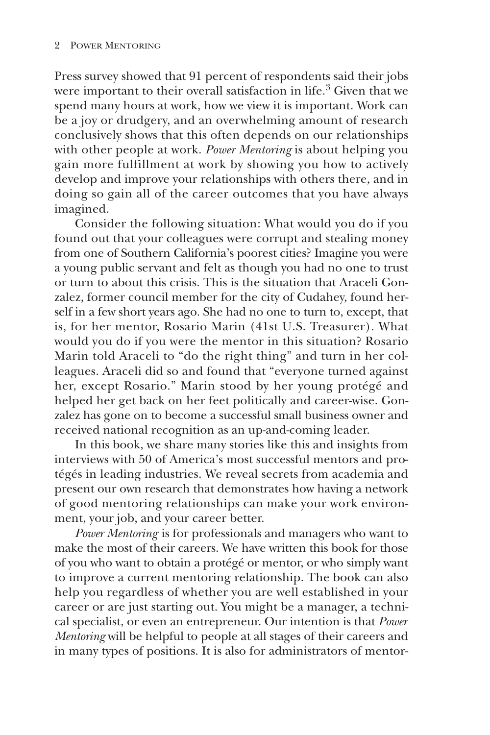Press survey showed that 91 percent of respondents said their jobs were important to their overall satisfaction in life.<sup>3</sup> Given that we spend many hours at work, how we view it is important. Work can be a joy or drudgery, and an overwhelming amount of research conclusively shows that this often depends on our relationships with other people at work. *Power Mentoring* is about helping you gain more fulfillment at work by showing you how to actively develop and improve your relationships with others there, and in doing so gain all of the career outcomes that you have always imagined.

Consider the following situation: What would you do if you found out that your colleagues were corrupt and stealing money from one of Southern California's poorest cities? Imagine you were a young public servant and felt as though you had no one to trust or turn to about this crisis. This is the situation that Araceli Gonzalez, former council member for the city of Cudahey, found herself in a few short years ago. She had no one to turn to, except, that is, for her mentor, Rosario Marin (41st U.S. Treasurer). What would you do if you were the mentor in this situation? Rosario Marin told Araceli to "do the right thing" and turn in her colleagues. Araceli did so and found that "everyone turned against her, except Rosario." Marin stood by her young protégé and helped her get back on her feet politically and career-wise. Gonzalez has gone on to become a successful small business owner and received national recognition as an up-and-coming leader.

In this book, we share many stories like this and insights from interviews with 50 of America's most successful mentors and protégés in leading industries. We reveal secrets from academia and present our own research that demonstrates how having a network of good mentoring relationships can make your work environment, your job, and your career better.

*Power Mentoring* is for professionals and managers who want to make the most of their careers. We have written this book for those of you who want to obtain a protégé or mentor, or who simply want to improve a current mentoring relationship. The book can also help you regardless of whether you are well established in your career or are just starting out. You might be a manager, a technical specialist, or even an entrepreneur. Our intention is that *Power Mentoring* will be helpful to people at all stages of their careers and in many types of positions. It is also for administrators of mentor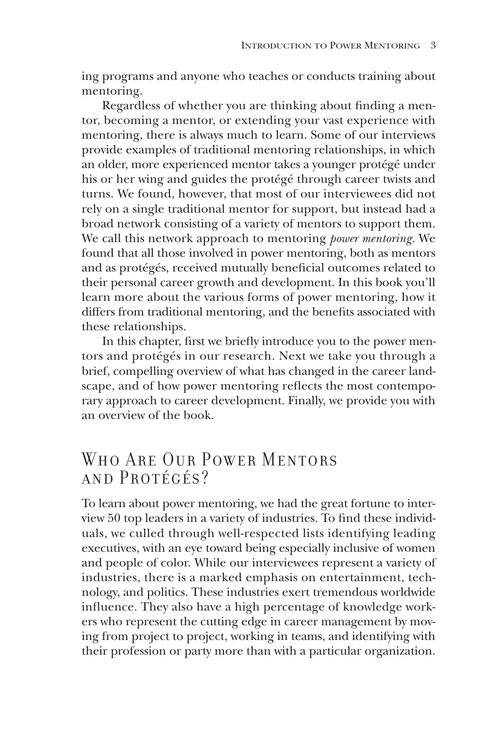ing programs and anyone who teaches or conducts training about mentoring.

Regardless of whether you are thinking about finding a mentor, becoming a mentor, or extending your vast experience with mentoring, there is always much to learn. Some of our interviews provide examples of traditional mentoring relationships, in which an older, more experienced mentor takes a younger protégé under his or her wing and guides the protégé through career twists and turns. We found, however, that most of our interviewees did not rely on a single traditional mentor for support, but instead had a broad network consisting of a variety of mentors to support them. We call this network approach to mentoring *power mentoring.* We found that all those involved in power mentoring, both as mentors and as protégés, received mutually beneficial outcomes related to their personal career growth and development. In this book you'll learn more about the various forms of power mentoring, how it differs from traditional mentoring, and the benefits associated with these relationships.

In this chapter, first we briefly introduce you to the power mentors and protégés in our research. Next we take you through a brief, compelling overview of what has changed in the career landscape, and of how power mentoring reflects the most contemporary approach to career development. Finally, we provide you with an overview of the book.

## WHO ARE OUR POWER MENTORS and Protégés?

To learn about power mentoring, we had the great fortune to interview 50 top leaders in a variety of industries. To find these individuals, we culled through well-respected lists identifying leading executives, with an eye toward being especially inclusive of women and people of color. While our interviewees represent a variety of industries, there is a marked emphasis on entertainment, technology, and politics. These industries exert tremendous worldwide influence. They also have a high percentage of knowledge workers who represent the cutting edge in career management by moving from project to project, working in teams, and identifying with their profession or party more than with a particular organization.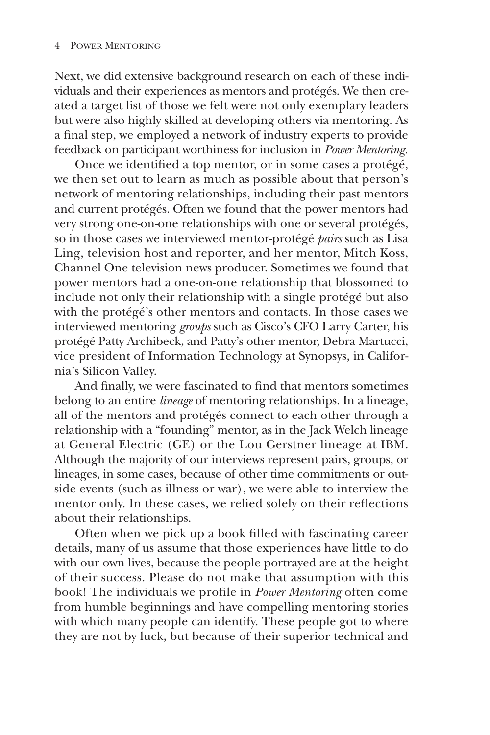Next, we did extensive background research on each of these individuals and their experiences as mentors and protégés. We then created a target list of those we felt were not only exemplary leaders but were also highly skilled at developing others via mentoring. As a final step, we employed a network of industry experts to provide feedback on participant worthiness for inclusion in *Power Mentoring.*

Once we identified a top mentor, or in some cases a protégé, we then set out to learn as much as possible about that person's network of mentoring relationships, including their past mentors and current protégés. Often we found that the power mentors had very strong one-on-one relationships with one or several protégés, so in those cases we interviewed mentor-protégé *pairs* such as Lisa Ling, television host and reporter, and her mentor, Mitch Koss, Channel One television news producer. Sometimes we found that power mentors had a one-on-one relationship that blossomed to include not only their relationship with a single protégé but also with the protégé's other mentors and contacts. In those cases we interviewed mentoring *groups* such as Cisco's CFO Larry Carter, his protégé Patty Archibeck, and Patty's other mentor, Debra Martucci, vice president of Information Technology at Synopsys, in California's Silicon Valley.

And finally, we were fascinated to find that mentors sometimes belong to an entire *lineage* of mentoring relationships. In a lineage, all of the mentors and protégés connect to each other through a relationship with a "founding" mentor, as in the Jack Welch lineage at General Electric (GE) or the Lou Gerstner lineage at IBM. Although the majority of our interviews represent pairs, groups, or lineages, in some cases, because of other time commitments or outside events (such as illness or war), we were able to interview the mentor only. In these cases, we relied solely on their reflections about their relationships.

Often when we pick up a book filled with fascinating career details, many of us assume that those experiences have little to do with our own lives, because the people portrayed are at the height of their success. Please do not make that assumption with this book! The individuals we profile in *Power Mentoring* often come from humble beginnings and have compelling mentoring stories with which many people can identify. These people got to where they are not by luck, but because of their superior technical and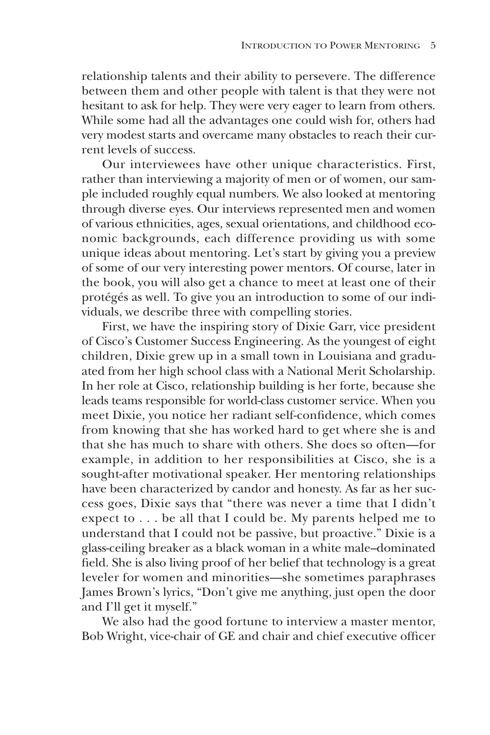relationship talents and their ability to persevere. The difference between them and other people with talent is that they were not hesitant to ask for help. They were very eager to learn from others. While some had all the advantages one could wish for, others had very modest starts and overcame many obstacles to reach their current levels of success.

Our interviewees have other unique characteristics. First, rather than interviewing a majority of men or of women, our sample included roughly equal numbers. We also looked at mentoring through diverse eyes. Our interviews represented men and women of various ethnicities, ages, sexual orientations, and childhood economic backgrounds, each difference providing us with some unique ideas about mentoring. Let's start by giving you a preview of some of our very interesting power mentors. Of course, later in the book, you will also get a chance to meet at least one of their protégés as well. To give you an introduction to some of our individuals, we describe three with compelling stories.

First, we have the inspiring story of Dixie Garr, vice president of Cisco's Customer Success Engineering. As the youngest of eight children, Dixie grew up in a small town in Louisiana and graduated from her high school class with a National Merit Scholarship. In her role at Cisco, relationship building is her forte, because she leads teams responsible for world-class customer service. When you meet Dixie, you notice her radiant self-confidence, which comes from knowing that she has worked hard to get where she is and that she has much to share with others. She does so often—for example, in addition to her responsibilities at Cisco, she is a sought-after motivational speaker. Her mentoring relationships have been characterized by candor and honesty. As far as her success goes, Dixie says that "there was never a time that I didn't expect to . . . be all that I could be. My parents helped me to understand that I could not be passive, but proactive." Dixie is a glass-ceiling breaker as a black woman in a white male–dominated field. She is also living proof of her belief that technology is a great leveler for women and minorities—she sometimes paraphrases James Brown's lyrics, "Don't give me anything, just open the door and I'll get it myself."

We also had the good fortune to interview a master mentor, Bob Wright, vice-chair of GE and chair and chief executive officer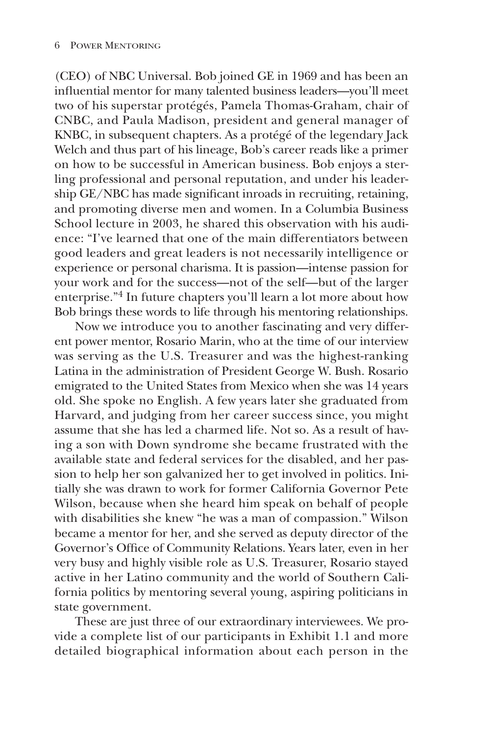(CEO) of NBC Universal. Bob joined GE in 1969 and has been an influential mentor for many talented business leaders—you'll meet two of his superstar protégés, Pamela Thomas-Graham, chair of CNBC, and Paula Madison, president and general manager of KNBC, in subsequent chapters. As a protégé of the legendary Jack Welch and thus part of his lineage, Bob's career reads like a primer on how to be successful in American business. Bob enjoys a sterling professional and personal reputation, and under his leadership GE/NBC has made significant inroads in recruiting, retaining, and promoting diverse men and women. In a Columbia Business School lecture in 2003, he shared this observation with his audience: "I've learned that one of the main differentiators between good leaders and great leaders is not necessarily intelligence or experience or personal charisma. It is passion—intense passion for your work and for the success—not of the self—but of the larger enterprise."4 In future chapters you'll learn a lot more about how Bob brings these words to life through his mentoring relationships.

Now we introduce you to another fascinating and very different power mentor, Rosario Marin, who at the time of our interview was serving as the U.S. Treasurer and was the highest-ranking Latina in the administration of President George W. Bush. Rosario emigrated to the United States from Mexico when she was 14 years old. She spoke no English. A few years later she graduated from Harvard, and judging from her career success since, you might assume that she has led a charmed life. Not so. As a result of having a son with Down syndrome she became frustrated with the available state and federal services for the disabled, and her passion to help her son galvanized her to get involved in politics. Initially she was drawn to work for former California Governor Pete Wilson, because when she heard him speak on behalf of people with disabilities she knew "he was a man of compassion." Wilson became a mentor for her, and she served as deputy director of the Governor's Office of Community Relations. Years later, even in her very busy and highly visible role as U.S. Treasurer, Rosario stayed active in her Latino community and the world of Southern California politics by mentoring several young, aspiring politicians in state government.

These are just three of our extraordinary interviewees. We provide a complete list of our participants in Exhibit 1.1 and more detailed biographical information about each person in the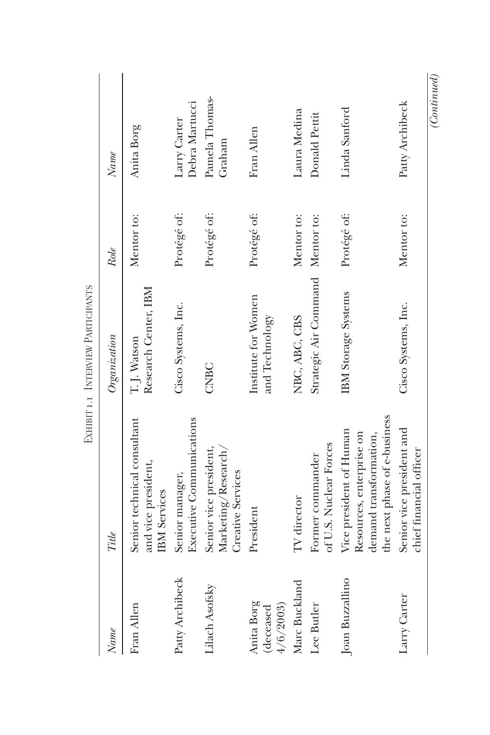|                                     |                                                                                                               | <b>MARINER AND ANNUAL AND ANNUAL AND ANNUAL AND ANNUAL AND ANNUAL AND ANNUAL AND ANNUAL AND ANNUAL AND ANNUAL AND</b> |             |                                |
|-------------------------------------|---------------------------------------------------------------------------------------------------------------|-----------------------------------------------------------------------------------------------------------------------|-------------|--------------------------------|
| Name                                | Title                                                                                                         | Organization                                                                                                          | Role        | Name                           |
| Fran Allen                          | Senior technical consultant<br>and vice president,<br>IBM Services                                            | Research Center, IBM<br>T. J. Watson                                                                                  | Mentor to:  | Anita Borg                     |
| Patty Archibeck                     | Executive Communications<br>Senior manager,                                                                   | Cisco Systems, Inc.                                                                                                   | Protégé of: | Debra Martucci<br>Larry Carter |
| Lilach Asofsky                      | Senior vice president,<br>$\rm Marketing/Research/$<br>Creative Services                                      | CNBC                                                                                                                  | Protégé of: | Pamela Thomas-<br>Graham       |
| Anita Borg<br>4/6/2003<br>(deceased | President                                                                                                     | Institute for Women<br>and Technology                                                                                 | Protégé of: | Fran Allen                     |
| Marc Buckland                       | TV director                                                                                                   | NBC, ABC, CBS                                                                                                         | Mentor to:  | Laura Medina                   |
| Lee Butler                          | of U.S. Nuclear Forces<br>Former commander                                                                    | Strategic Air Command Mentor to:                                                                                      |             | Donald Pettit                  |
| Joan Buzzallino                     | the next phase of e-business<br>Vice president of Human<br>Resources, enterprise on<br>demand transformation, | <b>IBM</b> Storage Systems                                                                                            | Protégé of: | Linda Sanford                  |
| Larry Carter                        | Senior vice president and<br>chief financial officer                                                          | Cisco Systems, Inc.                                                                                                   | Mentor to:  | Patty Archibeck                |

EXHIBIT 1.1 INTERVIEW PARTICIPANTS EXHIBIT 1.1 INTERVIEW PARTICIPANTS  $(Continued) % \begin{minipage}[b]{0.5\linewidth} \centering \centerline{\includegraphics[width=0.5\linewidth]{images/STM100020.jpg} \centerline{\includegraphics[width=0.5\linewidth]{images/STM100020.jpg} \centerline{\includegraphics[width=0.5\linewidth]{images/STM100020.jpg} \centerline{\includegraphics[width=0.5\linewidth]{images/STM100020.jpg} \centerline{\includegraphics[width=0.5\linewidth]{images/STM100020.jpg} \centerline{\includegraphics[width=0.5\linewidth]{images/STM100020.jpg} \centerline{\includegraphics[width=0.5\linewidth]{images/STM100020.jpg} \centerline{\includegraphics[width$ *(Continued)*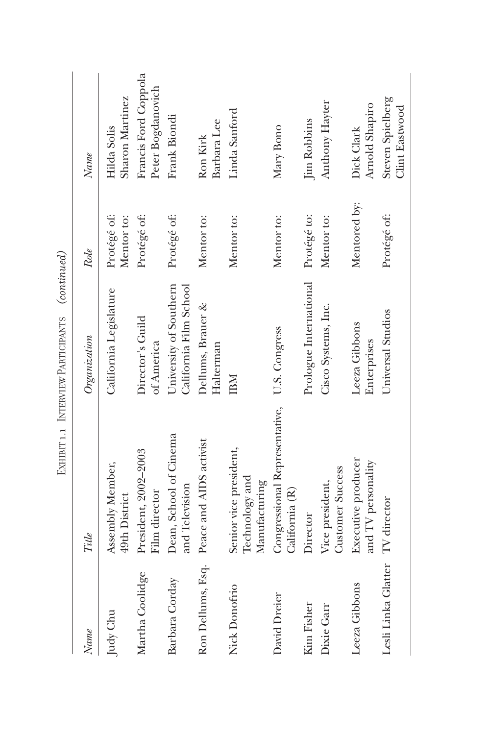| Name                | Title                                                     | Organization                                     | Role                      | Name                                      |
|---------------------|-----------------------------------------------------------|--------------------------------------------------|---------------------------|-------------------------------------------|
| Judy Chu            | Assembly Member,<br>49th District                         | California Legislature                           | Protégé of:<br>Mentor to: | Sharon Martinez<br>Hilda Solis            |
| Martha Coolidge     | President, 2002-2003<br>Film director                     | Director's Guild<br>of America                   | Protégé of:               | Francis Ford Coppola<br>Peter Bogdanovich |
| Barbara Corday      | Dean, School of Cinema<br>and Television                  | University of Southern<br>California Film School | Protégé of:               | Frank Biondi                              |
|                     | Ron Dellums, Esq. Peace and AIDS activist                 | Dellums, Brauer &<br>Halterman                   | Mentor to:                | Barbara Lee<br>Ron Kirk                   |
| Nick Donofrio       | Senior vice president,<br>Technology and<br>Manufacturing | IBM                                              | Mentor to:                | Linda Sanford                             |
| David Dreier        | Congressional Representative,<br>California (R)           | U.S. Congress                                    | Mentor to:                | Mary Bono                                 |
| Kim Fisher          | Director                                                  | Prologue International                           | Protégé to:               | <b>Jim Robbins</b>                        |
| Dixie Garr          | Customer Success<br>Vice president,                       | Cisco Systems, Inc.                              | Mentor to:                | Anthony Hayter                            |
| Leeza Gibbons       | Executive producer<br>and TV personality                  | Leeza Gibbons<br>Enterprises                     | Mentored by:              | Arnold Shapiro<br>Dick Clark              |
| Lesli Linka Glatter | TV director                                               | Universal Studios                                | Protégé of:               | Steven Spielberg<br>Clint Eastwood        |

EXHIBIT 1.1 INTERVIEW PARTICIPANTS (continued) PARTICIPANTS *(continued)* EXHIBIT 1.1 INTERVIEW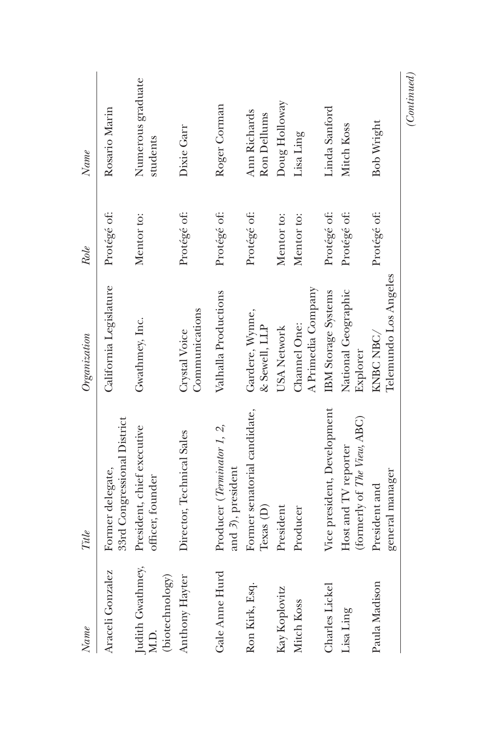| Name                                        | Title                                                                    | Organization                       | Role        | Name                          |
|---------------------------------------------|--------------------------------------------------------------------------|------------------------------------|-------------|-------------------------------|
| Araceli Gonzalez                            | 33rd Congressional District<br>Former delegate,                          | California Legislature             | Protégé of: | Rosario Marin                 |
| Judith Gwathmey,<br>(biotechnology)<br>M.D. | President, chief executive<br>officer, founder                           | Gwathmey, Inc.                     | Mentor to:  | Numerous graduate<br>students |
| Anthony Hayter                              | Director, Technical Sales                                                | Communications<br>Crystal Voice    | Protégé of: | Dixie Garr                    |
| Gale Anne Hurd                              | Producer (Terminator 1, 2,<br>and 3), president                          | Valhalla Productions               | Protégé of: | Roger Corman                  |
| Ron Kirk, Esq.                              | Former senatorial candidate,<br>$\mathrm{Texas}\left( \mathrm{D}\right)$ | Gardere, Wynne,<br>& Sewell, LLP   | Protégé of: | Ann Richards<br>Ron Dellums   |
| Kay Koplovitz                               | President                                                                | <b>USA Network</b>                 | Mentor to:  | Doug Holloway                 |
| Mitch Koss                                  | Producer                                                                 | A Primedia Company<br>Channel One: | Mentor to:  | Lisa Ling                     |
| Charles Lickel                              | Vice president, Development                                              | IBM Storage Systems                | Protégé of: | Linda Sanford                 |
| Lisa Ling                                   | (formerly of The View, ABC)<br>Host and TV reporter                      | National Geographic<br>Explorer    | Protégé of: | Mitch Koss                    |
| Paula Madison                               | general manager<br>President and                                         | Telemundo Los Angeles<br>KNBC NBC/ | Protégé of: | Bob Wright                    |
|                                             |                                                                          |                                    |             | (Continued)                   |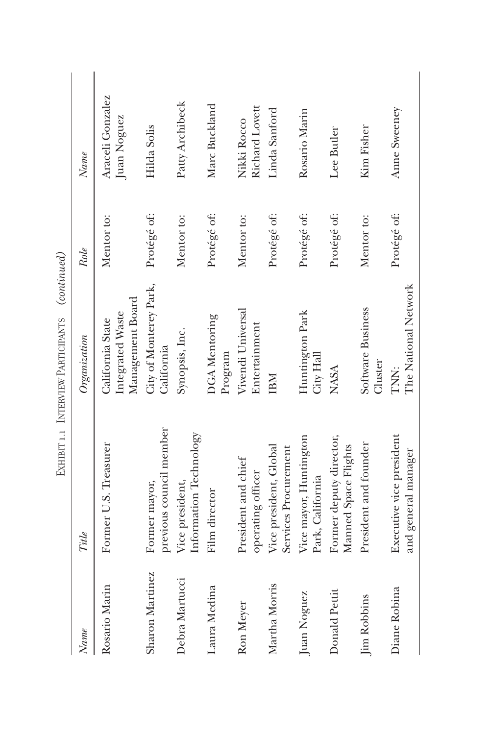|                 |                                                 | EXHIBIT 1.1 INTERVIEW PARTICIPANTS (continued)           |             |                                 |
|-----------------|-------------------------------------------------|----------------------------------------------------------|-------------|---------------------------------|
| Name            | Title                                           | Organization                                             | Role        | Name                            |
| Rosario Marin   | Former U.S. Treasurer                           | Management Board<br>Integrated Waste<br>California State | Mentor to:  | Araceli Gonzalez<br>Juan Noguez |
| Sharon Martinez | previous council member<br>Former mayor,        | City of Monterey Park,<br>California                     | Protégé of: | Hilda Solis                     |
| Debra Martucci  | Information Technology<br>Vice president,       | Synopsis, Inc.                                           | Mentor to:  | Patty Archibeck                 |
| Laura Medina    | Film director                                   | <b>DGA</b> Mentoring<br>Program                          | Protégé of: | Marc Buckland                   |
| Ron Meyer       | President and chief<br>operating officer        | Vivendi Universal<br>Entertainment                       | Mentor to:  | Richard Lovett<br>Nikki Rocco   |
| Martha Morris   | Vice president, Global<br>Services Procurement  | IBM                                                      | Protégé of: | Linda Sanford                   |
| Juan Noguez     | Vice mayor, Huntington<br>Park, California      | Huntington Park<br>City Hall                             | Protégé of: | Rosario Marin                   |
| Donald Pettit   | Former deputy director,<br>Manned Space Flights | <b>NASA</b>                                              | Protégé of: | Lee Butler                      |
| Jim Robbins     | President and founder                           | Software Business<br>Cluster                             | Mentor to:  | Kim Fisher                      |
| Diane Robina    | Executive vice president<br>and general manager | The National Network<br>TNN:                             | Protégé of: | Anne Sweeney                    |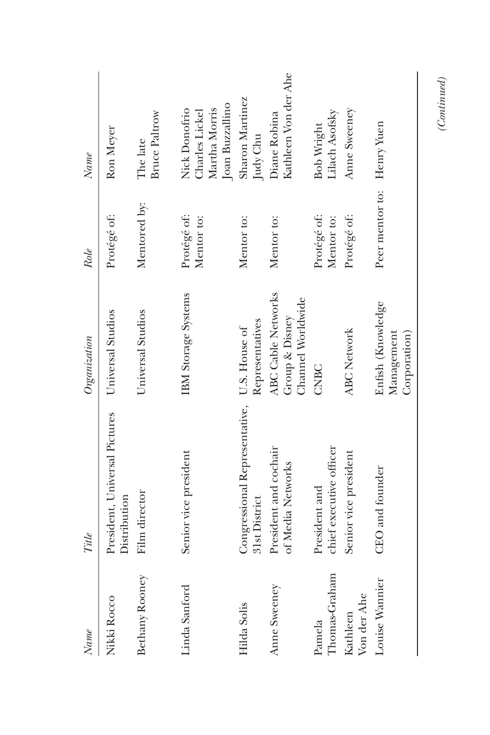| Name                    | Title                                          | Organization                                                     | Role                      | Name                                                                |
|-------------------------|------------------------------------------------|------------------------------------------------------------------|---------------------------|---------------------------------------------------------------------|
| Nikki Rocco             | President, Universal Pictures<br>Distribution  | Universal Studios                                                | Protégé of:               | Ron Meyer                                                           |
| Bethany Rooney          | Film director                                  | Universal Studios                                                | Mentored by:              | <b>Bruce Paltrow</b><br>The late                                    |
| Linda Sanford           | Senior vice president                          | IBM Storage Systems                                              | Protégé of:<br>Mentor to: | Joan Buzzallino<br>Martha Morris<br>Nick Donofrio<br>Charles Lickel |
| Hilda Solis             | Congressional Representative,<br>31st District | Representatives<br>U.S. House of                                 | Mentor to:                | Sharon Martinez<br>Judy Chu                                         |
| Anne Sweeney            | President and cochair<br>of Media Networks     | <b>ABC Cable Networks</b><br>Channel Worldwide<br>Group & Disney | Mentor to:                | Kathleen Von der Ahe<br>Diane Robina                                |
| Thomas-Graham<br>Pamela | chief executive officer<br>President and       | CNBC                                                             | Protégé of:<br>Mentor to: | Lilach Asofsky<br>Bob Wright                                        |
| Von der Ahe<br>Kathleen | Senior vice president                          | <b>ABC</b> Network                                               | Protégé of:               | Anne Sweeney                                                        |
| Louise Wannier          | CEO and founder                                | Enfish (Knowledge<br>Management<br>Corporation)                  | Peer mentor to:           | Henry Yuen                                                          |
|                         |                                                |                                                                  |                           | (Continued)                                                         |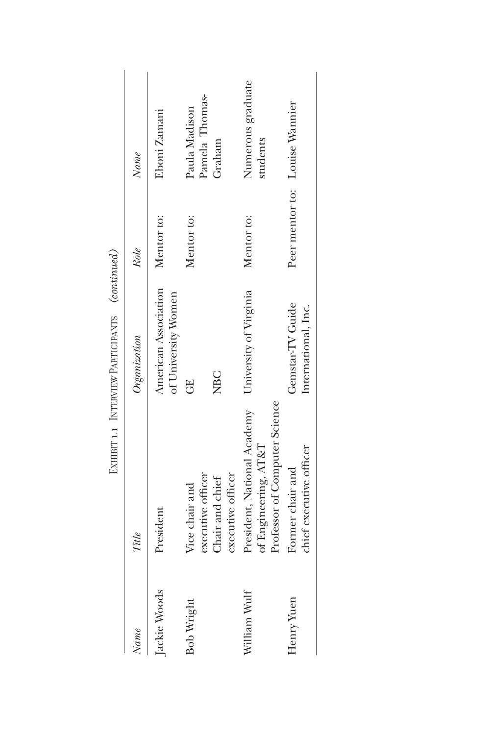| Name         | Title                                                                                | Organization                                | Role                           | Name                            |
|--------------|--------------------------------------------------------------------------------------|---------------------------------------------|--------------------------------|---------------------------------|
| Jackie Woods | President                                                                            | American Association<br>of University Women | Mentor to:                     | Eboni Zamani                    |
| Bob Wright   | executive officer<br>Vice chair and                                                  | 5                                           | Mentor to:                     | Pamela Thomas-<br>Paula Madison |
|              | executive officer<br>Chair and chief                                                 | <b>NBC</b>                                  |                                | Graham                          |
| Villiam Wulf | Professor of Computer Science<br>President, National Academy<br>of Engineering, AT&T | University of Virginia                      | Mentor to:                     | Numerous graduate<br>students   |
| Henry Yuen   | chief executive officer<br>Former chair and                                          | Gemstar-TV Guide<br>International, Inc.     | Peer mentor to: Louise Wannier |                                 |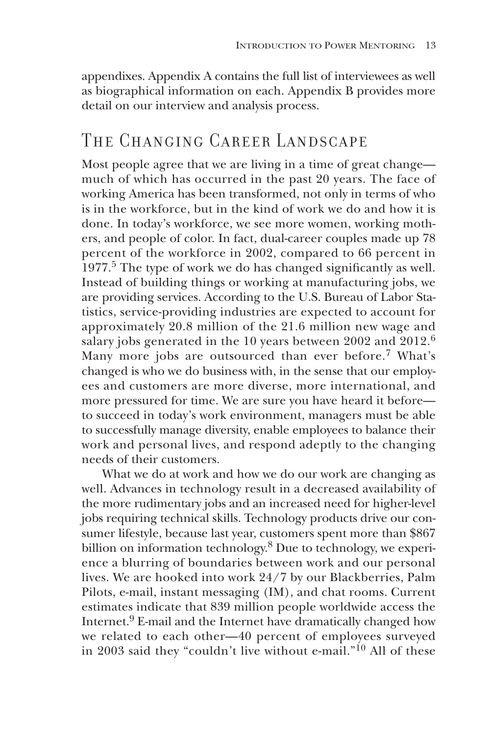appendixes. Appendix A contains the full list of interviewees as well as biographical information on each. Appendix B provides more detail on our interview and analysis process.

## The Changing Career Landscape

Most people agree that we are living in a time of great change much of which has occurred in the past 20 years. The face of working America has been transformed, not only in terms of who is in the workforce, but in the kind of work we do and how it is done. In today's workforce, we see more women, working mothers, and people of color. In fact, dual-career couples made up 78 percent of the workforce in 2002, compared to 66 percent in 1977.<sup>5</sup> The type of work we do has changed significantly as well. Instead of building things or working at manufacturing jobs, we are providing services. According to the U.S. Bureau of Labor Statistics, service-providing industries are expected to account for approximately 20.8 million of the 21.6 million new wage and salary jobs generated in the 10 years between 2002 and 2012.<sup>6</sup> Many more jobs are outsourced than ever before.<sup>7</sup> What's changed is who we do business with, in the sense that our employees and customers are more diverse, more international, and more pressured for time. We are sure you have heard it before to succeed in today's work environment, managers must be able to successfully manage diversity, enable employees to balance their work and personal lives, and respond adeptly to the changing needs of their customers.

What we do at work and how we do our work are changing as well. Advances in technology result in a decreased availability of the more rudimentary jobs and an increased need for higher-level jobs requiring technical skills. Technology products drive our consumer lifestyle, because last year, customers spent more than \$867 billion on information technology.<sup>8</sup> Due to technology, we experience a blurring of boundaries between work and our personal lives. We are hooked into work 24/7 by our Blackberries, Palm Pilots, e-mail, instant messaging (IM), and chat rooms. Current estimates indicate that 839 million people worldwide access the Internet.<sup>9</sup> E-mail and the Internet have dramatically changed how we related to each other—40 percent of employees surveyed in 2003 said they "couldn't live without e-mail."<sup>10</sup> All of these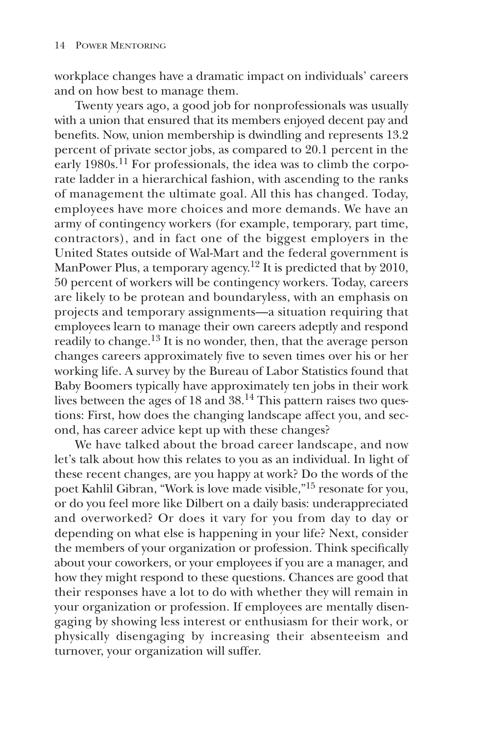workplace changes have a dramatic impact on individuals' careers and on how best to manage them.

Twenty years ago, a good job for nonprofessionals was usually with a union that ensured that its members enjoyed decent pay and benefits. Now, union membership is dwindling and represents 13.2 percent of private sector jobs, as compared to 20.1 percent in the early 1980s.<sup>11</sup> For professionals, the idea was to climb the corporate ladder in a hierarchical fashion, with ascending to the ranks of management the ultimate goal. All this has changed. Today, employees have more choices and more demands. We have an army of contingency workers (for example, temporary, part time, contractors), and in fact one of the biggest employers in the United States outside of Wal-Mart and the federal government is ManPower Plus, a temporary agency.12 It is predicted that by 2010, 50 percent of workers will be contingency workers. Today, careers are likely to be protean and boundaryless, with an emphasis on projects and temporary assignments—a situation requiring that employees learn to manage their own careers adeptly and respond readily to change.13 It is no wonder, then, that the average person changes careers approximately five to seven times over his or her working life. A survey by the Bureau of Labor Statistics found that Baby Boomers typically have approximately ten jobs in their work lives between the ages of 18 and 38.14 This pattern raises two questions: First, how does the changing landscape affect you, and second, has career advice kept up with these changes?

We have talked about the broad career landscape, and now let's talk about how this relates to you as an individual. In light of these recent changes, are you happy at work? Do the words of the poet Kahlil Gibran, "Work is love made visible,"15 resonate for you, or do you feel more like Dilbert on a daily basis: underappreciated and overworked? Or does it vary for you from day to day or depending on what else is happening in your life? Next, consider the members of your organization or profession. Think specifically about your coworkers, or your employees if you are a manager, and how they might respond to these questions. Chances are good that their responses have a lot to do with whether they will remain in your organization or profession. If employees are mentally disengaging by showing less interest or enthusiasm for their work, or physically disengaging by increasing their absenteeism and turnover, your organization will suffer.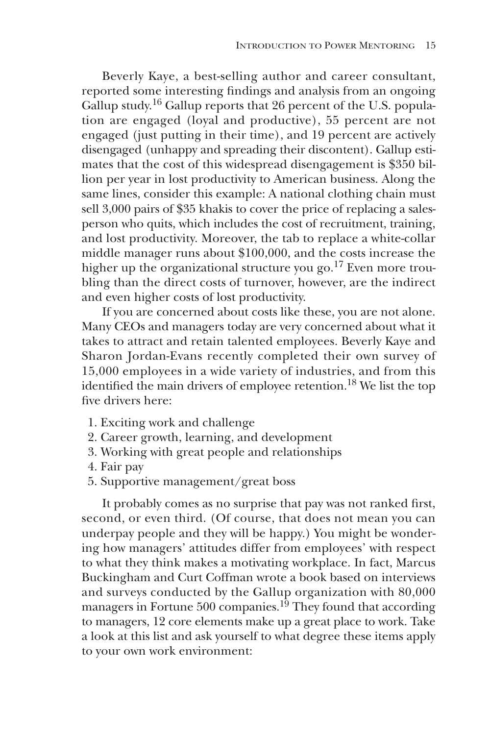Beverly Kaye, a best-selling author and career consultant, reported some interesting findings and analysis from an ongoing Gallup study.<sup>16</sup> Gallup reports that 26 percent of the U.S. population are engaged (loyal and productive), 55 percent are not engaged (just putting in their time), and 19 percent are actively disengaged (unhappy and spreading their discontent). Gallup estimates that the cost of this widespread disengagement is \$350 billion per year in lost productivity to American business. Along the same lines, consider this example: A national clothing chain must sell 3,000 pairs of \$35 khakis to cover the price of replacing a salesperson who quits, which includes the cost of recruitment, training, and lost productivity. Moreover, the tab to replace a white-collar middle manager runs about \$100,000, and the costs increase the higher up the organizational structure you go.<sup>17</sup> Even more troubling than the direct costs of turnover, however, are the indirect and even higher costs of lost productivity.

If you are concerned about costs like these, you are not alone. Many CEOs and managers today are very concerned about what it takes to attract and retain talented employees. Beverly Kaye and Sharon Jordan-Evans recently completed their own survey of 15,000 employees in a wide variety of industries, and from this identified the main drivers of employee retention.<sup>18</sup> We list the top five drivers here:

- 1. Exciting work and challenge
- 2. Career growth, learning, and development
- 3. Working with great people and relationships
- 4. Fair pay
- 5. Supportive management/great boss

It probably comes as no surprise that pay was not ranked first, second, or even third. (Of course, that does not mean you can underpay people and they will be happy.) You might be wondering how managers' attitudes differ from employees' with respect to what they think makes a motivating workplace. In fact, Marcus Buckingham and Curt Coffman wrote a book based on interviews and surveys conducted by the Gallup organization with 80,000 managers in Fortune 500 companies.<sup>19</sup> They found that according to managers, 12 core elements make up a great place to work. Take a look at this list and ask yourself to what degree these items apply to your own work environment: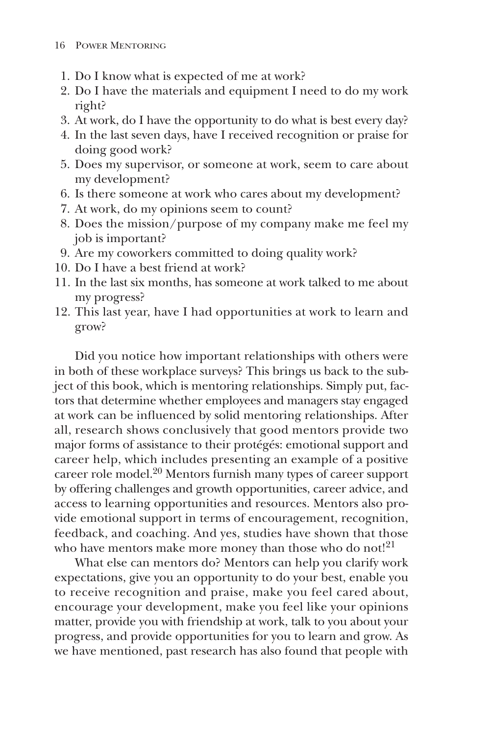- 1. Do I know what is expected of me at work?
- 2. Do I have the materials and equipment I need to do my work right?
- 3. At work, do I have the opportunity to do what is best every day?
- 4. In the last seven days, have I received recognition or praise for doing good work?
- 5. Does my supervisor, or someone at work, seem to care about my development?
- 6. Is there someone at work who cares about my development?
- 7. At work, do my opinions seem to count?
- 8. Does the mission/purpose of my company make me feel my job is important?
- 9. Are my coworkers committed to doing quality work?
- 10. Do I have a best friend at work?
- 11. In the last six months, has someone at work talked to me about my progress?
- 12. This last year, have I had opportunities at work to learn and grow?

Did you notice how important relationships with others were in both of these workplace surveys? This brings us back to the subject of this book, which is mentoring relationships. Simply put, factors that determine whether employees and managers stay engaged at work can be influenced by solid mentoring relationships. After all, research shows conclusively that good mentors provide two major forms of assistance to their protégés: emotional support and career help, which includes presenting an example of a positive career role model.20 Mentors furnish many types of career support by offering challenges and growth opportunities, career advice, and access to learning opportunities and resources. Mentors also provide emotional support in terms of encouragement, recognition, feedback, and coaching. And yes, studies have shown that those who have mentors make more money than those who do not!<sup>21</sup>

What else can mentors do? Mentors can help you clarify work expectations, give you an opportunity to do your best, enable you to receive recognition and praise, make you feel cared about, encourage your development, make you feel like your opinions matter, provide you with friendship at work, talk to you about your progress, and provide opportunities for you to learn and grow. As we have mentioned, past research has also found that people with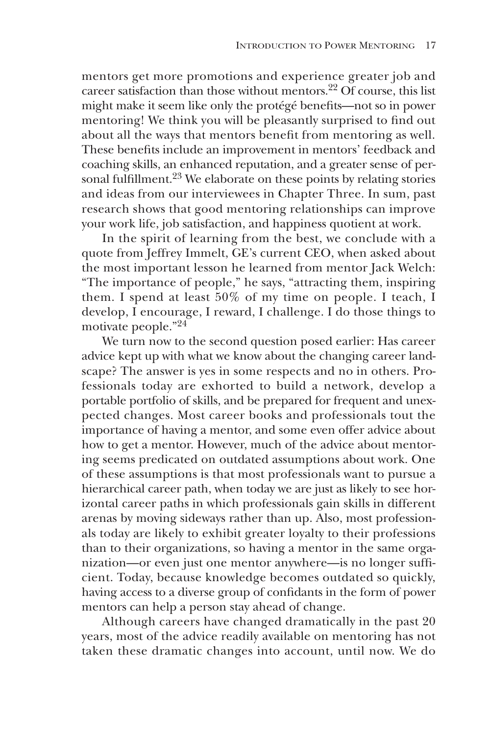mentors get more promotions and experience greater job and career satisfaction than those without mentors.<sup>22</sup> Of course, this list might make it seem like only the protégé benefits—not so in power mentoring! We think you will be pleasantly surprised to find out about all the ways that mentors benefit from mentoring as well. These benefits include an improvement in mentors' feedback and coaching skills, an enhanced reputation, and a greater sense of personal fulfillment.<sup>23</sup> We elaborate on these points by relating stories and ideas from our interviewees in Chapter Three. In sum, past research shows that good mentoring relationships can improve your work life, job satisfaction, and happiness quotient at work.

In the spirit of learning from the best, we conclude with a quote from Jeffrey Immelt, GE's current CEO, when asked about the most important lesson he learned from mentor Jack Welch: "The importance of people," he says, "attracting them, inspiring them. I spend at least 50% of my time on people. I teach, I develop, I encourage, I reward, I challenge. I do those things to motivate people."24

We turn now to the second question posed earlier: Has career advice kept up with what we know about the changing career landscape? The answer is yes in some respects and no in others. Professionals today are exhorted to build a network, develop a portable portfolio of skills, and be prepared for frequent and unexpected changes. Most career books and professionals tout the importance of having a mentor, and some even offer advice about how to get a mentor. However, much of the advice about mentoring seems predicated on outdated assumptions about work. One of these assumptions is that most professionals want to pursue a hierarchical career path, when today we are just as likely to see horizontal career paths in which professionals gain skills in different arenas by moving sideways rather than up. Also, most professionals today are likely to exhibit greater loyalty to their professions than to their organizations, so having a mentor in the same organization—or even just one mentor anywhere—is no longer sufficient. Today, because knowledge becomes outdated so quickly, having access to a diverse group of confidants in the form of power mentors can help a person stay ahead of change.

Although careers have changed dramatically in the past 20 years, most of the advice readily available on mentoring has not taken these dramatic changes into account, until now. We do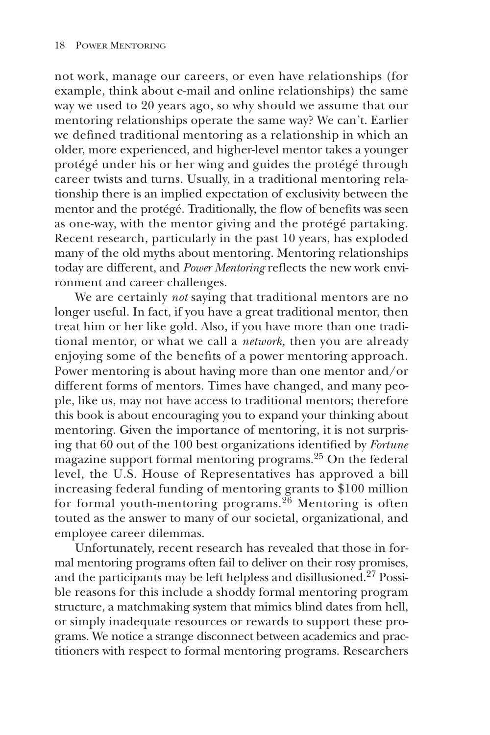not work, manage our careers, or even have relationships (for example, think about e-mail and online relationships) the same way we used to 20 years ago, so why should we assume that our mentoring relationships operate the same way? We can't. Earlier we defined traditional mentoring as a relationship in which an older, more experienced, and higher-level mentor takes a younger protégé under his or her wing and guides the protégé through career twists and turns. Usually, in a traditional mentoring relationship there is an implied expectation of exclusivity between the mentor and the protégé. Traditionally, the flow of benefits was seen as one-way, with the mentor giving and the protégé partaking. Recent research, particularly in the past 10 years, has exploded many of the old myths about mentoring. Mentoring relationships today are different, and *Power Mentoring* reflects the new work environment and career challenges.

We are certainly *not* saying that traditional mentors are no longer useful. In fact, if you have a great traditional mentor, then treat him or her like gold. Also, if you have more than one traditional mentor, or what we call a *network,* then you are already enjoying some of the benefits of a power mentoring approach. Power mentoring is about having more than one mentor and/or different forms of mentors. Times have changed, and many people, like us, may not have access to traditional mentors; therefore this book is about encouraging you to expand your thinking about mentoring. Given the importance of mentoring, it is not surprising that 60 out of the 100 best organizations identified by *Fortune* magazine support formal mentoring programs.<sup>25</sup> On the federal level, the U.S. House of Representatives has approved a bill increasing federal funding of mentoring grants to \$100 million for formal youth-mentoring programs.<sup>26</sup> Mentoring is often touted as the answer to many of our societal, organizational, and employee career dilemmas.

Unfortunately, recent research has revealed that those in formal mentoring programs often fail to deliver on their rosy promises, and the participants may be left helpless and disillusioned.27 Possible reasons for this include a shoddy formal mentoring program structure, a matchmaking system that mimics blind dates from hell, or simply inadequate resources or rewards to support these programs. We notice a strange disconnect between academics and practitioners with respect to formal mentoring programs. Researchers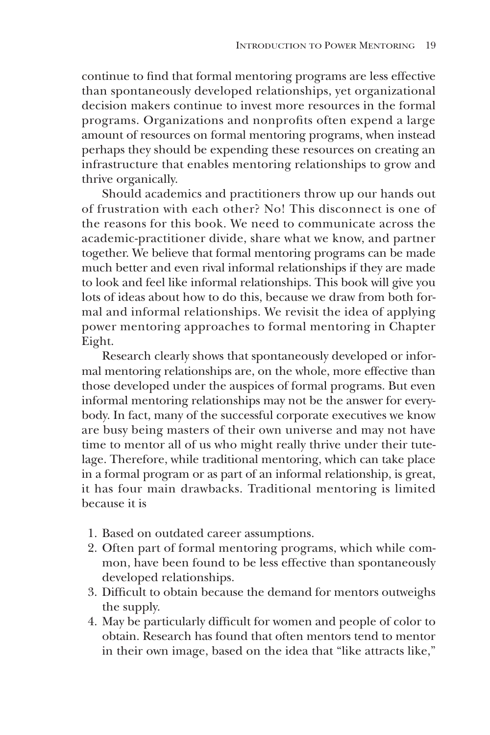continue to find that formal mentoring programs are less effective than spontaneously developed relationships, yet organizational decision makers continue to invest more resources in the formal programs. Organizations and nonprofits often expend a large amount of resources on formal mentoring programs, when instead perhaps they should be expending these resources on creating an infrastructure that enables mentoring relationships to grow and thrive organically.

Should academics and practitioners throw up our hands out of frustration with each other? No! This disconnect is one of the reasons for this book. We need to communicate across the academic-practitioner divide, share what we know, and partner together. We believe that formal mentoring programs can be made much better and even rival informal relationships if they are made to look and feel like informal relationships. This book will give you lots of ideas about how to do this, because we draw from both formal and informal relationships. We revisit the idea of applying power mentoring approaches to formal mentoring in Chapter Eight.

Research clearly shows that spontaneously developed or informal mentoring relationships are, on the whole, more effective than those developed under the auspices of formal programs. But even informal mentoring relationships may not be the answer for everybody. In fact, many of the successful corporate executives we know are busy being masters of their own universe and may not have time to mentor all of us who might really thrive under their tutelage. Therefore, while traditional mentoring, which can take place in a formal program or as part of an informal relationship, is great, it has four main drawbacks. Traditional mentoring is limited because it is

- 1. Based on outdated career assumptions.
- 2. Often part of formal mentoring programs, which while common, have been found to be less effective than spontaneously developed relationships.
- 3. Difficult to obtain because the demand for mentors outweighs the supply.
- 4. May be particularly difficult for women and people of color to obtain. Research has found that often mentors tend to mentor in their own image, based on the idea that "like attracts like,"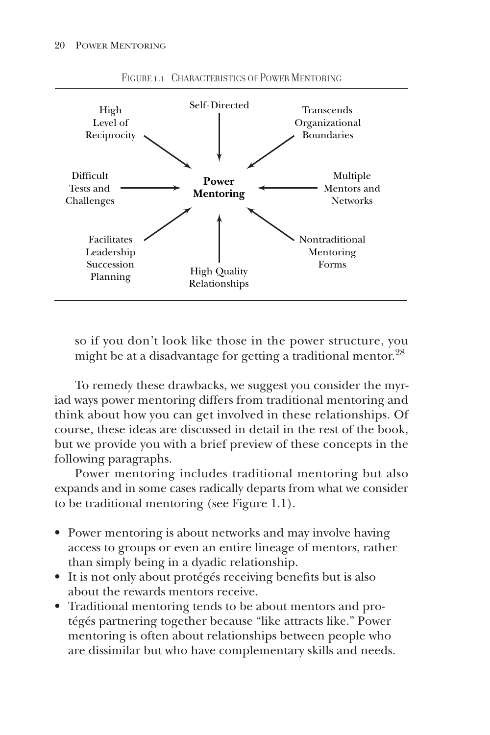

FIGURE 1.1 CHARACTERISTICS OF POWER MENTORING

so if you don't look like those in the power structure, you might be at a disadvantage for getting a traditional mentor. $^{28}$ 

To remedy these drawbacks, we suggest you consider the myriad ways power mentoring differs from traditional mentoring and think about how you can get involved in these relationships. Of course, these ideas are discussed in detail in the rest of the book, but we provide you with a brief preview of these concepts in the following paragraphs.

Power mentoring includes traditional mentoring but also expands and in some cases radically departs from what we consider to be traditional mentoring (see Figure 1.1).

- Power mentoring is about networks and may involve having access to groups or even an entire lineage of mentors, rather than simply being in a dyadic relationship.
- It is not only about protégés receiving benefits but is also about the rewards mentors receive.
- Traditional mentoring tends to be about mentors and protégés partnering together because "like attracts like." Power mentoring is often about relationships between people who are dissimilar but who have complementary skills and needs.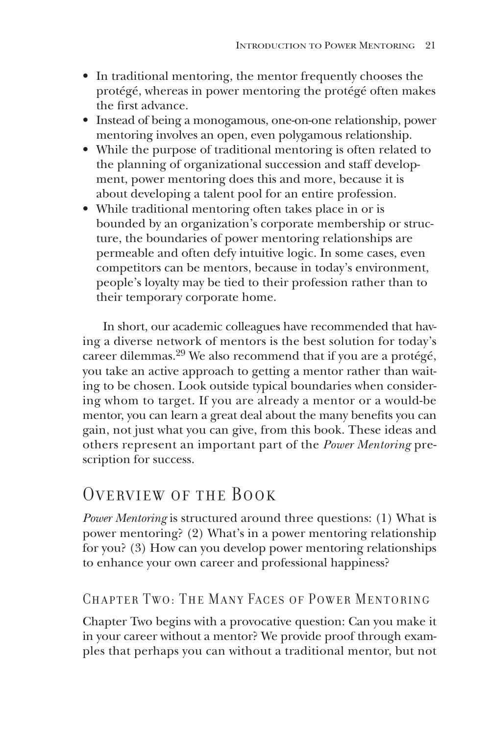- In traditional mentoring, the mentor frequently chooses the protégé, whereas in power mentoring the protégé often makes the first advance.
- Instead of being a monogamous, one-on-one relationship, power mentoring involves an open, even polygamous relationship.
- While the purpose of traditional mentoring is often related to the planning of organizational succession and staff development, power mentoring does this and more, because it is about developing a talent pool for an entire profession.
- While traditional mentoring often takes place in or is bounded by an organization's corporate membership or structure, the boundaries of power mentoring relationships are permeable and often defy intuitive logic. In some cases, even competitors can be mentors, because in today's environment, people's loyalty may be tied to their profession rather than to their temporary corporate home.

In short, our academic colleagues have recommended that having a diverse network of mentors is the best solution for today's career dilemmas.<sup>29</sup> We also recommend that if you are a protégé, you take an active approach to getting a mentor rather than waiting to be chosen. Look outside typical boundaries when considering whom to target. If you are already a mentor or a would-be mentor, you can learn a great deal about the many benefits you can gain, not just what you can give, from this book. These ideas and others represent an important part of the *Power Mentoring* prescription for success.

## OVERVIEW OF THE BOOK

*Power Mentoring* is structured around three questions: (1) What is power mentoring? (2) What's in a power mentoring relationship for you? (3) How can you develop power mentoring relationships to enhance your own career and professional happiness?

#### Chapter Two: The Many Faces of Power Mentoring

Chapter Two begins with a provocative question: Can you make it in your career without a mentor? We provide proof through examples that perhaps you can without a traditional mentor, but not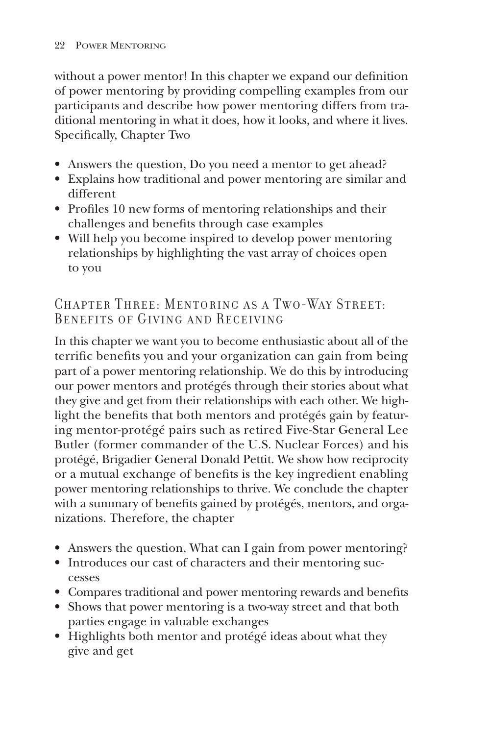without a power mentor! In this chapter we expand our definition of power mentoring by providing compelling examples from our participants and describe how power mentoring differs from traditional mentoring in what it does, how it looks, and where it lives. Specifically, Chapter Two

- Answers the question, Do you need a mentor to get ahead?
- Explains how traditional and power mentoring are similar and different
- Profiles 10 new forms of mentoring relationships and their challenges and benefits through case examples
- Will help you become inspired to develop power mentoring relationships by highlighting the vast array of choices open to you

#### Chapter Three: Mentoring as a Two-Way Street: Benefits of Giving and Receiving

In this chapter we want you to become enthusiastic about all of the terrific benefits you and your organization can gain from being part of a power mentoring relationship. We do this by introducing our power mentors and protégés through their stories about what they give and get from their relationships with each other. We highlight the benefits that both mentors and protégés gain by featuring mentor-protégé pairs such as retired Five-Star General Lee Butler (former commander of the U.S. Nuclear Forces) and his protégé, Brigadier General Donald Pettit. We show how reciprocity or a mutual exchange of benefits is the key ingredient enabling power mentoring relationships to thrive. We conclude the chapter with a summary of benefits gained by protégés, mentors, and organizations. Therefore, the chapter

- Answers the question, What can I gain from power mentoring?
- Introduces our cast of characters and their mentoring successes
- Compares traditional and power mentoring rewards and benefits
- Shows that power mentoring is a two-way street and that both parties engage in valuable exchanges
- Highlights both mentor and protégé ideas about what they give and get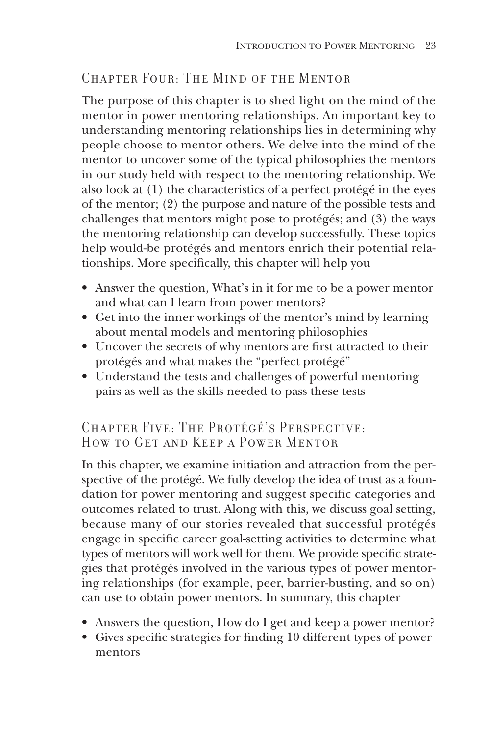#### Chapter Four: The Mind of the Mentor

The purpose of this chapter is to shed light on the mind of the mentor in power mentoring relationships. An important key to understanding mentoring relationships lies in determining why people choose to mentor others. We delve into the mind of the mentor to uncover some of the typical philosophies the mentors in our study held with respect to the mentoring relationship. We also look at (1) the characteristics of a perfect protégé in the eyes of the mentor; (2) the purpose and nature of the possible tests and challenges that mentors might pose to protégés; and (3) the ways the mentoring relationship can develop successfully. These topics help would-be protégés and mentors enrich their potential relationships. More specifically, this chapter will help you

- Answer the question, What's in it for me to be a power mentor and what can I learn from power mentors?
- Get into the inner workings of the mentor's mind by learning about mental models and mentoring philosophies
- Uncover the secrets of why mentors are first attracted to their protégés and what makes the "perfect protégé"
- Understand the tests and challenges of powerful mentoring pairs as well as the skills needed to pass these tests

#### Chapter Five: The Protégé's Perspective: How to Get and Keep a Power Mentor

In this chapter, we examine initiation and attraction from the perspective of the protégé. We fully develop the idea of trust as a foundation for power mentoring and suggest specific categories and outcomes related to trust. Along with this, we discuss goal setting, because many of our stories revealed that successful protégés engage in specific career goal-setting activities to determine what types of mentors will work well for them. We provide specific strategies that protégés involved in the various types of power mentoring relationships (for example, peer, barrier-busting, and so on) can use to obtain power mentors. In summary, this chapter

- Answers the question, How do I get and keep a power mentor?
- Gives specific strategies for finding 10 different types of power mentors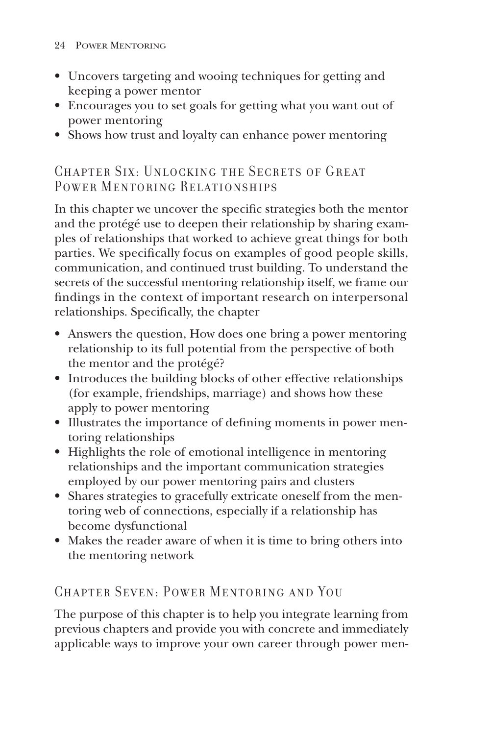#### 24 POWER MENTORING

- Uncovers targeting and wooing techniques for getting and keeping a power mentor
- Encourages you to set goals for getting what you want out of power mentoring
- Shows how trust and loyalty can enhance power mentoring

#### Chapter Six: Unlocking the Secrets of Great Power Mentoring Relationships

In this chapter we uncover the specific strategies both the mentor and the protégé use to deepen their relationship by sharing examples of relationships that worked to achieve great things for both parties. We specifically focus on examples of good people skills, communication, and continued trust building. To understand the secrets of the successful mentoring relationship itself, we frame our findings in the context of important research on interpersonal relationships. Specifically, the chapter

- Answers the question, How does one bring a power mentoring relationship to its full potential from the perspective of both the mentor and the protégé?
- Introduces the building blocks of other effective relationships (for example, friendships, marriage) and shows how these apply to power mentoring
- Illustrates the importance of defining moments in power mentoring relationships
- Highlights the role of emotional intelligence in mentoring relationships and the important communication strategies employed by our power mentoring pairs and clusters
- Shares strategies to gracefully extricate oneself from the mentoring web of connections, especially if a relationship has become dysfunctional
- Makes the reader aware of when it is time to bring others into the mentoring network

### Chapter Seven: Power Mentoring and You

The purpose of this chapter is to help you integrate learning from previous chapters and provide you with concrete and immediately applicable ways to improve your own career through power men